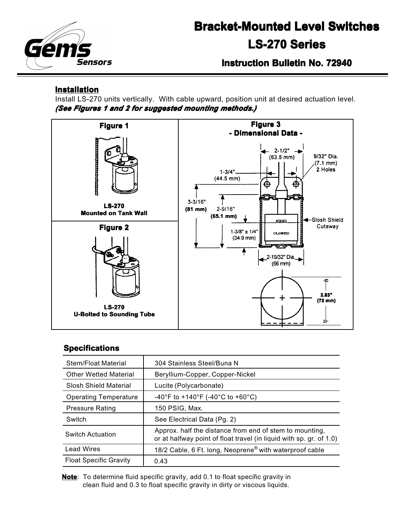

# **Bracket-Mounted Level Switches Bracket-Mounted Level Switches LS-270 Series**

**Instruction Bulletin No. 72940**

## **Installation**

Install LS-270 units vertically. With cable upward, position unit at desired actuation level. *(See Figures 1 and 2 for suggested mounting methods.) 1 and suggested methods.)*



#### **Specifications**

| Stem/Float Material           | 304 Stainless Steel/Buna N                                                                                                     |  |  |
|-------------------------------|--------------------------------------------------------------------------------------------------------------------------------|--|--|
| <b>Other Wetted Material</b>  | Beryllium-Copper, Copper-Nickel                                                                                                |  |  |
| Slosh Shield Material         | Lucite (Polycarbonate)                                                                                                         |  |  |
| <b>Operating Temperature</b>  | -40°F to +140°F (-40°C to +60°C)                                                                                               |  |  |
| <b>Pressure Rating</b>        | 150 PSIG, Max.                                                                                                                 |  |  |
| Switch                        | See Electrical Data (Pg. 2)                                                                                                    |  |  |
| Switch Actuation              | Approx. half the distance from end of stem to mounting,<br>or at halfway point of float travel (in liquid with sp. gr. of 1.0) |  |  |
| <b>Lead Wires</b>             | 18/2 Cable, 6 Ft. long, Neoprene <sup>®</sup> with waterproof cable                                                            |  |  |
| <b>Float Specific Gravity</b> | 0.43                                                                                                                           |  |  |

**Note**: To determine fluid specific gravity, add 0.1 to float specific gravity in clean fluid and 0.3 to float specific gravity in dirty or viscous liquids.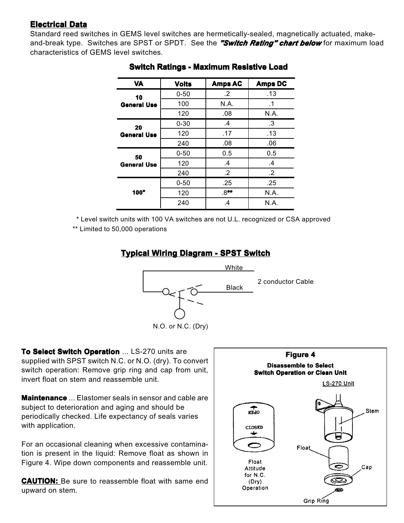# **Electrical Data**

Standard reed switches in GEMS level switches are hermetically-sealed, magnetically actuated, makeand-break type. Switches are SPST or SPDT. See the *"Switch Rating" chart below* for maximum load characteristics of GEMS level switches.

| <b>VA</b>                | <b>Volts</b> | <b>Amps AC</b> | <b>Amps DC</b>  |
|--------------------------|--------------|----------------|-----------------|
| 10<br><b>General Use</b> | $0 - 50$     | $\cdot$ 2      | .13             |
|                          | 100          | N.A.           | .1              |
|                          | 120          | .08            | N.A.            |
| 20<br><b>General Use</b> | $0 - 30$     | .4             | .3              |
|                          | 120          | .17            | .13             |
|                          | 240          | .08            | .06             |
| 50<br><b>General Use</b> | $0 - 50$     | 0.5            | 0.5             |
|                          | 120          | $\cdot$        | $\cdot$         |
|                          | 240          | $.2\,$         | $.2\phantom{0}$ |
| $100*$                   | $0 - 50$     | .25            | .25             |
|                          | 120          | $.8**$         | N.A.            |
|                          | 240          | $\cdot$        | N.A.            |

## **Switch Ratings - Maximum Resistive Load**

\* Level switch units with 100 VA switches are not U.L. recognized or CSA approved

\*\* Limited to 50,000 operations

# **Typical Wiring Diagram - SPST Switch**



**To Select Switch Operation** ... LS-270 units are supplied with SPST switch N.C. or N.O. (dry). To convert switch operation: Remove grip ring and cap from unit, invert float on stem and reassemble unit.

**Maintenance** ... Elastomer seals in sensor and cable are subject to deterioration and aging and should be periodically checked. Life expectancy of seals varies with application.

For an occasional cleaning when excessive contamination is present in the liquid: Remove float as shown in Figure 4. Wipe down components and reassemble unit.

**CAUTION: CAUTION:** Be sure to reassemble float with same end upward on stem.

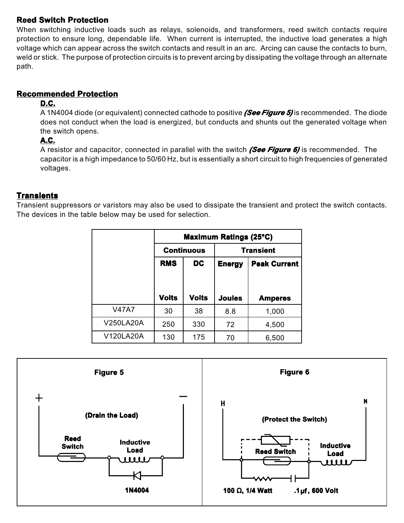#### **Reed Switch Protection**

When switching inductive loads such as relays, solenoids, and transformers, reed switch contacts require protection to ensure long, dependable life. When current is interrupted, the inductive load generates a high voltage which can appear across the switch contacts and result in an arc. Arcing can cause the contacts to burn, weld or stick. The purpose of protection circuits is to prevent arcing by dissipating the voltage through an alternate path.

# **Recommended Protection**

#### **D.C.**

A 1N4004 diode (or equivalent) connected cathode to positive *(See Figure 5) Figure*  is recommended. The diode does not conduct when the load is energized, but conducts and shunts out the generated voltage when the switch opens.

#### **A.C.**

A resistor and capacitor, connected in parallel with the switch *(See Figure 6) Figure 6)* is recommended. The capacitor is a high impedance to 50/60 Hz, but is essentially a short circuit to high frequencies of generated voltages.

#### **Transients**

Transient suppressors or varistors may also be used to dissipate the transient and protect the switch contacts. The devices in the table below may be used for selection.

|              | <b>Maximum Ratings (25°C)</b> |              |                  |                     |  |  |
|--------------|-------------------------------|--------------|------------------|---------------------|--|--|
|              | <b>Continuous</b>             |              | <b>Transient</b> |                     |  |  |
|              | <b>RMS</b>                    | <b>DC</b>    | <b>Energy</b>    | <b>Peak Current</b> |  |  |
|              |                               |              |                  |                     |  |  |
|              | <b>Volts</b>                  | <b>Volts</b> | <b>Joules</b>    | <b>Amperes</b>      |  |  |
| <b>V47A7</b> | 30                            | 38           | 8.8              | 1,000               |  |  |
| V250LA20A    | 250                           | 330          | 72               | 4,500               |  |  |
| V120LA20A    | 130                           | 175          | 70               | 6,500               |  |  |